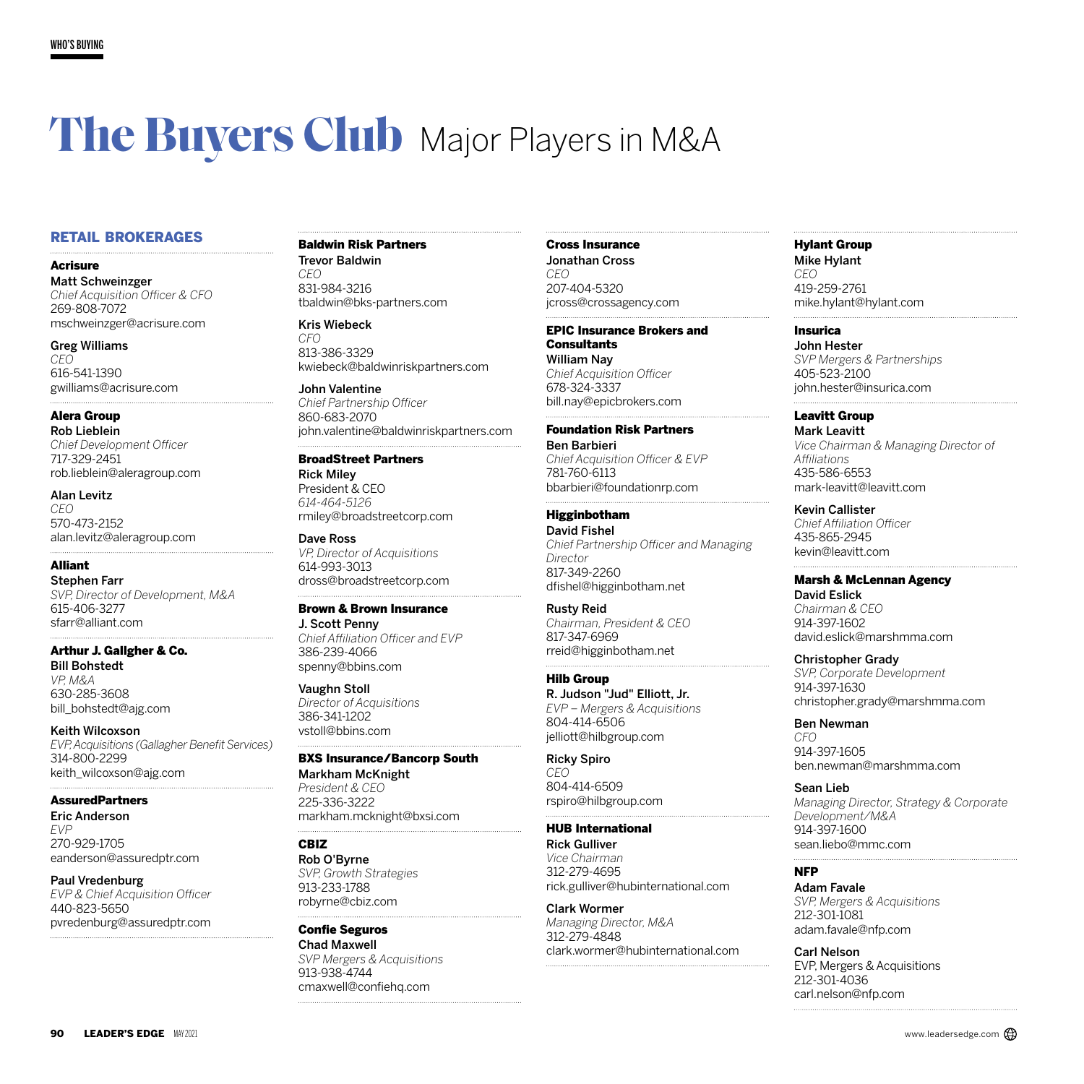# **The Buyers Club** Major Players in M&A

## RETAIL BROKERAGES

Acrisure

Matt Schweinzger *Chief Acquisition Officer & CFO* 269-808-7072 mschweinzger@acrisure.com

Greg Williams *CEO* 616-541-1390 gwilliams@acrisure.com

Alera Group Rob Lieblein *Chief Development Officer* 717-329-2451 rob.lieblein@aleragroup.com

Alan Levitz *CEO* 570-473-2152 alan.levitz@aleragroup.com

Alliant Stephen Farr *SVP, Director of Development, M&A* 615-406-3277 sfarr@alliant.com

Arthur J. Gallgher & Co. Bill Bohstedt *VP, M&A* 630-285-3608

bill\_bohstedt@ajg.com

Keith Wilcoxson *EVP, Acquisitions (Gallagher Benefit Services)* 314-800-2299 keith\_wilcoxson@ajg.com

**AssuredPartners** 

Eric Anderson *EVP* 270-929-1705 eanderson@assuredptr.com

Paul Vredenburg *EVP & Chief Acquisition Officer* 440-823-5650 pvredenburg@assuredptr.com

## Baldwin Risk Partners

Trevor Baldwin *CEO* 831-984-3216 tbaldwin@bks-partners.com

#### Kris Wiebeck

*CFO* 813-386-3329 kwiebeck@baldwinriskpartners.com

John Valentine *Chief Partnership Officer* 860-683-2070 john.valentine@baldwinriskpartners.com

## BroadStreet Partners

Rick Miley President & CEO *614-464-5126* rmiley@broadstreetcorp.com

Dave Ross *VP, Director of Acquisitions* 614-993-3013 dross@broadstreetcorp.com

Brown & Brown Insurance J. Scott Penny *Chief Affiliation Officer and EVP*

386-239-4066 spenny@bbins.com

Vaughn Stoll *Director of Acquisitions* 386-341-1202 vstoll@bbins.com

#### BXS Insurance/Bancorp South

Markham McKnight *President & CEO* 225-336-3222 markham.mcknight@bxsi.com

#### CBIZ

Rob O'Byrne *SVP, Growth Strategies* 913-233-1788 robyrne@cbiz.com

Confie Seguros Chad Maxwell *SVP Mergers & Acquisitions* 913-938-4744 cmaxwell@confiehq.com

#### Cross Insurance

Jonathan Cross *CEO* 207-404-5320 jcross@crossagency.com

#### EPIC Insurance Brokers and

**Consultants** William Nay *Chief Acquisition Officer* 678-324-3337 bill.nay@epicbrokers.com

#### Foundation Risk Partners

Ben Barbieri *Chief Acquisition Officer & EVP* 781-760-6113 bbarbieri@foundationrp.com

#### Higginbotham

David Fishel *Chief Partnership Officer and Managing Director* 817-349-2260 dfishel@higginbotham.net

Rusty Reid *Chairman, President & CEO* 817-347-6969 rreid@higginbotham.net

Hilb Group R. Judson "Jud" Elliott, Jr. *EVP – Mergers & Acquisitions* 804-414-6506 jelliott@hilbgroup.com

Ricky Spiro *CEO* 804-414-6509 rspiro@hilbgroup.com

#### HUB International

Rick Gulliver *Vice Chairman* 312-279-4695 rick.gulliver@hubinternational.com

Clark Wormer *Managing Director, M&A* 312-279-4848 clark.wormer@hubinternational.com

## Hylant Group

Mike Hylant *CEO* 419-259-2761 mike.hylant@hylant.com

Insurica

John Hester *SVP Mergers & Partnerships* 405-523-2100 john.hester@insurica.com

## Leavitt Group

Mark Leavitt *Vice Chairman & Managing Director of Affiliations* 435-586-6553 mark-leavitt@leavitt.com

#### Kevin Callister

*Chief Affiliation Officer* 435-865-2945 kevin@leavitt.com

#### Marsh & McLennan Agency

David Eslick *Chairman & CEO* 914-397-1602 david.eslick@marshmma.com

#### Christopher Grady

*SVP, Corporate Development* 914-397-1630 christopher.grady@marshmma.com

Ben Newman

*CFO* 914-397-1605 ben.newman@marshmma.com

Sean Lieb

*Managing Director, Strategy & Corporate Development/M&A* 914-397-1600 sean.liebo@mmc.com

## NFP

Adam Favale *SVP, Mergers & Acquisitions* 212-301-1081 adam.favale@nfp.com

Carl Nelson EVP, Mergers & Acquisitions 212-301-4036 carl.nelson@nfp.com